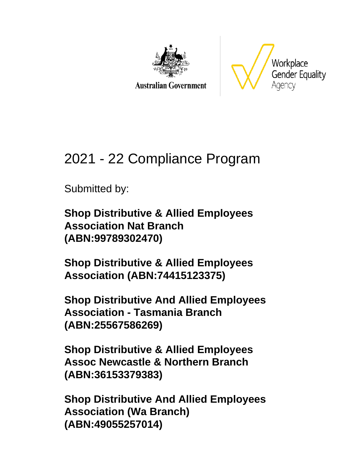

**Australian Government** 



# 2021 - 22 Compliance Program

Submitted by:

**Shop Distributive & Allied Employees Association Nat Branch (ABN:99789302470)**

**Shop Distributive & Allied Employees Association (ABN:74415123375)**

**Shop Distributive And Allied Employees Association - Tasmania Branch (ABN:25567586269)**

**Shop Distributive & Allied Employees Assoc Newcastle & Northern Branch (ABN:36153379383)**

**Shop Distributive And Allied Employees Association (Wa Branch) (ABN:49055257014)**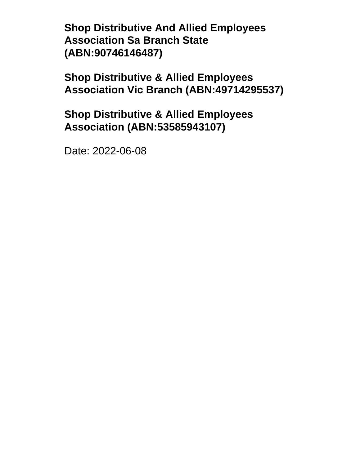**Shop Distributive And Allied Employees Association Sa Branch State (ABN:90746146487)**

**Shop Distributive & Allied Employees Association Vic Branch (ABN:49714295537)**

**Shop Distributive & Allied Employees Association (ABN:53585943107)**

Date: 2022-06-08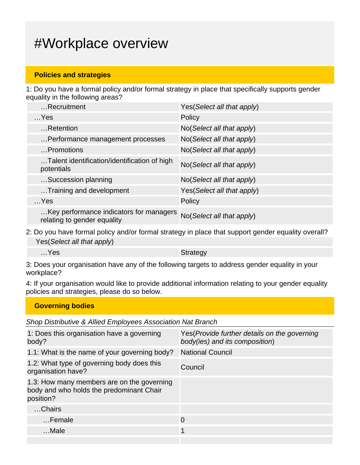# #Workplace overview

#### **Policies and strategies**

1: Do you have a formal policy and/or formal strategy in place that specifically supports gender equality in the following areas?

| Recruitment                                                            | Yes (Select all that apply) |
|------------------------------------------------------------------------|-----------------------------|
| $$ Yes                                                                 | Policy                      |
| Retention                                                              | No(Select all that apply)   |
| Performance management processes                                       | No(Select all that apply)   |
| Promotions                                                             | No(Select all that apply)   |
| Talent identification/identification of high<br>potentials             | No(Select all that apply)   |
| Succession planning                                                    | No(Select all that apply)   |
| Training and development                                               | Yes (Select all that apply) |
| $$ Yes                                                                 | Policy                      |
| Key performance indicators for managers<br>relating to gender equality | No(Select all that apply)   |

2: Do you have formal policy and/or formal strategy in place that support gender equality overall? Yes(Select all that apply)

…Yes Strategy

3: Does your organisation have any of the following targets to address gender equality in your workplace?

4: If your organisation would like to provide additional information relating to your gender equality policies and strategies, please do so below.

| <b>Governing bodies</b> |  |  |
|-------------------------|--|--|
|                         |  |  |

Shop Distributive & Allied Employees Association Nat Branch

| 1: Does this organisation have a governing<br>body?                                                 | Yes (Provide further details on the governing<br>body(ies) and its composition) |
|-----------------------------------------------------------------------------------------------------|---------------------------------------------------------------------------------|
| 1.1: What is the name of your governing body?                                                       | <b>National Council</b>                                                         |
| 1.2: What type of governing body does this<br>organisation have?                                    | Council                                                                         |
| 1.3: How many members are on the governing<br>body and who holds the predominant Chair<br>position? |                                                                                 |
| Chairs                                                                                              |                                                                                 |
| Female                                                                                              | $\Omega$                                                                        |
| …Male                                                                                               | 1                                                                               |
|                                                                                                     |                                                                                 |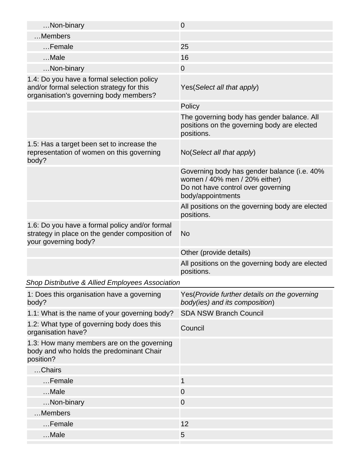| Non-binary                                                                                                                        | $\mathbf 0$                                                                                                                             |
|-----------------------------------------------------------------------------------------------------------------------------------|-----------------------------------------------------------------------------------------------------------------------------------------|
| Members                                                                                                                           |                                                                                                                                         |
| Female                                                                                                                            | 25                                                                                                                                      |
| Male                                                                                                                              | 16                                                                                                                                      |
| Non-binary                                                                                                                        | $\overline{0}$                                                                                                                          |
| 1.4: Do you have a formal selection policy<br>and/or formal selection strategy for this<br>organisation's governing body members? | Yes (Select all that apply)                                                                                                             |
|                                                                                                                                   | Policy                                                                                                                                  |
|                                                                                                                                   | The governing body has gender balance. All<br>positions on the governing body are elected<br>positions.                                 |
| 1.5: Has a target been set to increase the<br>representation of women on this governing<br>body?                                  | No(Select all that apply)                                                                                                               |
|                                                                                                                                   | Governing body has gender balance (i.e. 40%<br>women / 40% men / 20% either)<br>Do not have control over governing<br>body/appointments |
|                                                                                                                                   | All positions on the governing body are elected<br>positions.                                                                           |
| 1.6: Do you have a formal policy and/or formal<br>strategy in place on the gender composition of<br>your governing body?          | <b>No</b>                                                                                                                               |
|                                                                                                                                   | Other (provide details)                                                                                                                 |
|                                                                                                                                   | All positions on the governing body are elected<br>positions.                                                                           |
| Shop Distributive & Allied Employees Association                                                                                  |                                                                                                                                         |
| 1: Does this organisation have a governing<br>body?                                                                               | Yes (Provide further details on the governing<br>body(ies) and its composition)                                                         |
| 1.1: What is the name of your governing body?                                                                                     | <b>SDA NSW Branch Council</b>                                                                                                           |
| 1.2: What type of governing body does this<br>organisation have?                                                                  | Council                                                                                                                                 |
| 1.3: How many members are on the governing<br>body and who holds the predominant Chair<br>position?                               |                                                                                                                                         |
| Chairs                                                                                                                            |                                                                                                                                         |
| Female                                                                                                                            | $\mathbf{1}$                                                                                                                            |
| Male                                                                                                                              | $\overline{0}$                                                                                                                          |
| Non-binary                                                                                                                        | 0                                                                                                                                       |
| Members                                                                                                                           |                                                                                                                                         |
| Female                                                                                                                            | 12                                                                                                                                      |
|                                                                                                                                   |                                                                                                                                         |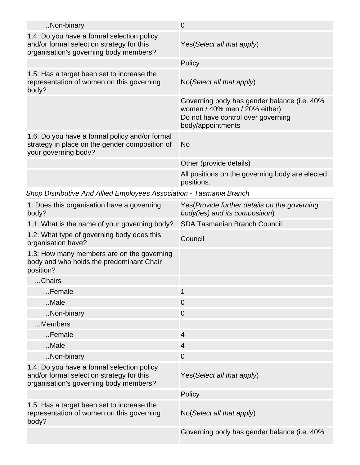| Non-binary                                                                                                                        | $\mathbf 0$                                                                                                                             |
|-----------------------------------------------------------------------------------------------------------------------------------|-----------------------------------------------------------------------------------------------------------------------------------------|
| 1.4: Do you have a formal selection policy<br>and/or formal selection strategy for this<br>organisation's governing body members? | Yes (Select all that apply)                                                                                                             |
|                                                                                                                                   | Policy                                                                                                                                  |
| 1.5: Has a target been set to increase the<br>representation of women on this governing<br>body?                                  | No(Select all that apply)                                                                                                               |
|                                                                                                                                   | Governing body has gender balance (i.e. 40%<br>women / 40% men / 20% either)<br>Do not have control over governing<br>body/appointments |
| 1.6: Do you have a formal policy and/or formal<br>strategy in place on the gender composition of<br>your governing body?          | No                                                                                                                                      |
|                                                                                                                                   | Other (provide details)                                                                                                                 |
|                                                                                                                                   | All positions on the governing body are elected<br>positions.                                                                           |
| Shop Distributive And Allied Employees Association - Tasmania Branch                                                              |                                                                                                                                         |
| 1: Does this organisation have a governing<br>body?                                                                               | Yes (Provide further details on the governing<br>body(ies) and its composition)                                                         |
| 1.1: What is the name of your governing body?                                                                                     | <b>SDA Tasmanian Branch Council</b>                                                                                                     |
| 1.2: What type of governing body does this                                                                                        | Council                                                                                                                                 |
| organisation have?                                                                                                                |                                                                                                                                         |
| 1.3: How many members are on the governing<br>body and who holds the predominant Chair<br>position?                               |                                                                                                                                         |
| Chairs                                                                                                                            |                                                                                                                                         |
| Female                                                                                                                            | $\mathbf{1}$                                                                                                                            |
| Male                                                                                                                              | $\overline{0}$                                                                                                                          |
| Non-binary                                                                                                                        | $\overline{0}$                                                                                                                          |
| Members                                                                                                                           |                                                                                                                                         |
| Female                                                                                                                            | $\overline{4}$                                                                                                                          |
| Male                                                                                                                              | $\overline{4}$                                                                                                                          |
| Non-binary                                                                                                                        | $\mathbf 0$                                                                                                                             |
| 1.4: Do you have a formal selection policy<br>and/or formal selection strategy for this<br>organisation's governing body members? | Yes (Select all that apply)                                                                                                             |
|                                                                                                                                   | Policy                                                                                                                                  |
| 1.5: Has a target been set to increase the<br>representation of women on this governing<br>body?                                  | No(Select all that apply)                                                                                                               |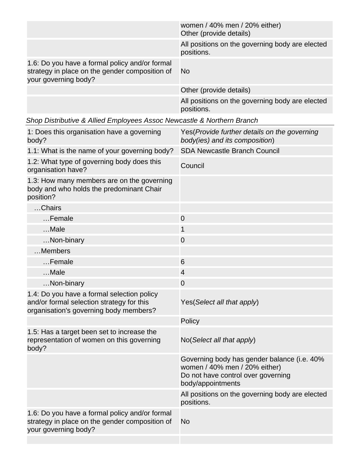|                                                                                                                          | women / 40% men / 20% either)<br>Other (provide details)      |
|--------------------------------------------------------------------------------------------------------------------------|---------------------------------------------------------------|
|                                                                                                                          | All positions on the governing body are elected<br>positions. |
| 1.6: Do you have a formal policy and/or formal<br>strategy in place on the gender composition of<br>your governing body? | -No                                                           |
|                                                                                                                          | Other (provide details)                                       |
|                                                                                                                          | All positions on the governing body are elected<br>positions. |

| Shop Distributive & Allied Employees Assoc Newcastle & Northern Branch |  |  |  |
|------------------------------------------------------------------------|--|--|--|
|                                                                        |  |  |  |
|                                                                        |  |  |  |

| 1: Does this organisation have a governing<br>body?                                                                               | Yes(Provide further details on the governing<br>body(ies) and its composition)                                                          |
|-----------------------------------------------------------------------------------------------------------------------------------|-----------------------------------------------------------------------------------------------------------------------------------------|
| 1.1: What is the name of your governing body?                                                                                     | <b>SDA Newcastle Branch Council</b>                                                                                                     |
| 1.2: What type of governing body does this<br>organisation have?                                                                  | Council                                                                                                                                 |
| 1.3: How many members are on the governing<br>body and who holds the predominant Chair<br>position?                               |                                                                                                                                         |
| Chairs                                                                                                                            |                                                                                                                                         |
| Female                                                                                                                            | $\mathbf 0$                                                                                                                             |
| Male                                                                                                                              | 1                                                                                                                                       |
| Non-binary                                                                                                                        | $\mathbf 0$                                                                                                                             |
| Members                                                                                                                           |                                                                                                                                         |
| Female                                                                                                                            | 6                                                                                                                                       |
| Male                                                                                                                              | $\overline{4}$                                                                                                                          |
| Non-binary                                                                                                                        | $\overline{0}$                                                                                                                          |
| 1.4: Do you have a formal selection policy<br>and/or formal selection strategy for this<br>organisation's governing body members? | Yes (Select all that apply)                                                                                                             |
|                                                                                                                                   | Policy                                                                                                                                  |
| 1.5: Has a target been set to increase the<br>representation of women on this governing<br>body?                                  | No(Select all that apply)                                                                                                               |
|                                                                                                                                   | Governing body has gender balance (i.e. 40%<br>women / 40% men / 20% either)<br>Do not have control over governing<br>body/appointments |
|                                                                                                                                   | All positions on the governing body are elected<br>positions.                                                                           |
| 1.6: Do you have a formal policy and/or formal<br>strategy in place on the gender composition of<br>your governing body?          | <b>No</b>                                                                                                                               |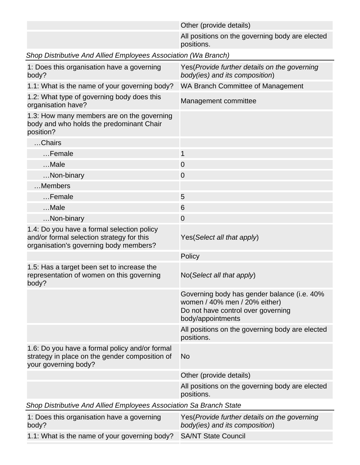|                                                                                                                                   | Other (provide details)                                                                                                                 |
|-----------------------------------------------------------------------------------------------------------------------------------|-----------------------------------------------------------------------------------------------------------------------------------------|
|                                                                                                                                   | All positions on the governing body are elected<br>positions.                                                                           |
| Shop Distributive And Allied Employees Association (Wa Branch)                                                                    |                                                                                                                                         |
| 1: Does this organisation have a governing<br>body?                                                                               | Yes (Provide further details on the governing<br>body(ies) and its composition)                                                         |
| 1.1: What is the name of your governing body?                                                                                     | WA Branch Committee of Management                                                                                                       |
| 1.2: What type of governing body does this<br>organisation have?                                                                  | Management committee                                                                                                                    |
| 1.3: How many members are on the governing<br>body and who holds the predominant Chair<br>position?                               |                                                                                                                                         |
| Chairs                                                                                                                            |                                                                                                                                         |
| Female                                                                                                                            | 1                                                                                                                                       |
| Male                                                                                                                              | $\mathbf 0$                                                                                                                             |
| Non-binary                                                                                                                        | $\mathbf 0$                                                                                                                             |
| Members                                                                                                                           |                                                                                                                                         |
| Female                                                                                                                            | 5                                                                                                                                       |
| Male                                                                                                                              | 6                                                                                                                                       |
| Non-binary                                                                                                                        | $\overline{0}$                                                                                                                          |
| 1.4: Do you have a formal selection policy<br>and/or formal selection strategy for this<br>organisation's governing body members? | Yes (Select all that apply)                                                                                                             |
|                                                                                                                                   | Policy                                                                                                                                  |
| 1.5: Has a target been set to increase the<br>representation of women on this governing<br>body?                                  | No(Select all that apply)                                                                                                               |
|                                                                                                                                   | Governing body has gender balance (i.e. 40%<br>women / 40% men / 20% either)<br>Do not have control over governing<br>body/appointments |
|                                                                                                                                   | All positions on the governing body are elected<br>positions.                                                                           |
| 1.6: Do you have a formal policy and/or formal<br>strategy in place on the gender composition of<br>your governing body?          | <b>No</b>                                                                                                                               |
|                                                                                                                                   | Other (provide details)                                                                                                                 |
|                                                                                                                                   | All positions on the governing body are elected<br>positions.                                                                           |
| Shop Distributive And Allied Employees Association Sa Branch State                                                                |                                                                                                                                         |
| 1: Does this organisation have a governing<br>body?                                                                               | Yes(Provide further details on the governing<br>body(ies) and its composition)                                                          |
| 1.1: What is the name of your governing body?                                                                                     | <b>SA/NT State Council</b>                                                                                                              |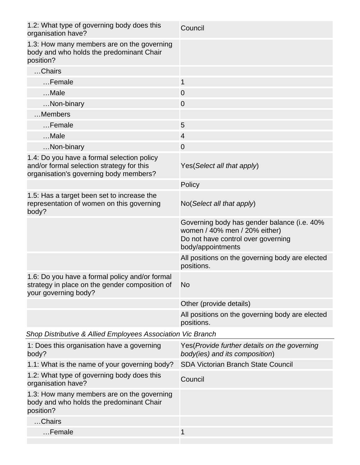| 1.2: What type of governing body does this<br>organisation have?                                                                  | Council                                                                                                                                 |
|-----------------------------------------------------------------------------------------------------------------------------------|-----------------------------------------------------------------------------------------------------------------------------------------|
| 1.3: How many members are on the governing<br>body and who holds the predominant Chair<br>position?                               |                                                                                                                                         |
| Chairs                                                                                                                            |                                                                                                                                         |
| Female                                                                                                                            | $\mathbf{1}$                                                                                                                            |
| Male                                                                                                                              | $\overline{0}$                                                                                                                          |
| Non-binary                                                                                                                        | 0                                                                                                                                       |
| Members                                                                                                                           |                                                                                                                                         |
| Female                                                                                                                            | 5                                                                                                                                       |
| Male                                                                                                                              | $\overline{4}$                                                                                                                          |
| Non-binary                                                                                                                        | $\overline{0}$                                                                                                                          |
| 1.4: Do you have a formal selection policy<br>and/or formal selection strategy for this<br>organisation's governing body members? | Yes(Select all that apply)                                                                                                              |
|                                                                                                                                   | Policy                                                                                                                                  |
| 1.5: Has a target been set to increase the<br>representation of women on this governing<br>body?                                  | No(Select all that apply)                                                                                                               |
|                                                                                                                                   | Governing body has gender balance (i.e. 40%<br>women / 40% men / 20% either)<br>Do not have control over governing<br>body/appointments |
|                                                                                                                                   | All positions on the governing body are elected<br>positions.                                                                           |
| 1.6: Do you have a formal policy and/or formal<br>strategy in place on the gender composition of<br>your governing body?          | <b>No</b>                                                                                                                               |
|                                                                                                                                   | Other (provide details)                                                                                                                 |
|                                                                                                                                   | All positions on the governing body are elected<br>positions.                                                                           |
| Shop Distributive & Allied Employees Association Vic Branch                                                                       |                                                                                                                                         |
| 1: Does this organisation have a governing<br>body?                                                                               | Yes(Provide further details on the governing<br>body(ies) and its composition)                                                          |
| 1.1: What is the name of your governing body?                                                                                     | SDA Victorian Branch State Council                                                                                                      |
| 1.2: What type of governing body does this<br>organisation have?                                                                  | Council                                                                                                                                 |
| 1.3: How many members are on the governing<br>body and who holds the predominant Chair<br>position?                               |                                                                                                                                         |
| Chairs                                                                                                                            |                                                                                                                                         |
| Female                                                                                                                            | 1                                                                                                                                       |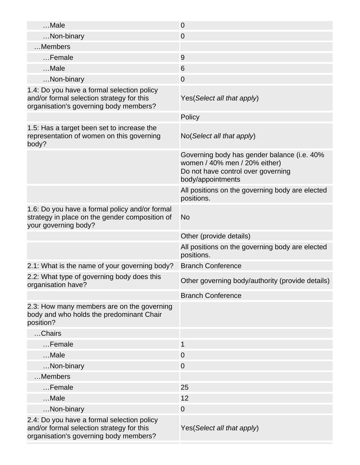| Male                                                                                                                              | $\mathbf 0$                                                                                                                             |
|-----------------------------------------------------------------------------------------------------------------------------------|-----------------------------------------------------------------------------------------------------------------------------------------|
| Non-binary                                                                                                                        | $\mathbf 0$                                                                                                                             |
| Members                                                                                                                           |                                                                                                                                         |
| Female                                                                                                                            | 9                                                                                                                                       |
| Male                                                                                                                              | 6                                                                                                                                       |
| Non-binary                                                                                                                        | $\mathbf 0$                                                                                                                             |
| 1.4: Do you have a formal selection policy<br>and/or formal selection strategy for this<br>organisation's governing body members? | Yes (Select all that apply)                                                                                                             |
|                                                                                                                                   | Policy                                                                                                                                  |
| 1.5: Has a target been set to increase the<br>representation of women on this governing<br>body?                                  | No(Select all that apply)                                                                                                               |
|                                                                                                                                   | Governing body has gender balance (i.e. 40%<br>women / 40% men / 20% either)<br>Do not have control over governing<br>body/appointments |
|                                                                                                                                   | All positions on the governing body are elected<br>positions.                                                                           |
| 1.6: Do you have a formal policy and/or formal<br>strategy in place on the gender composition of<br>your governing body?          | No                                                                                                                                      |
|                                                                                                                                   | Other (provide details)                                                                                                                 |
|                                                                                                                                   | All positions on the governing body are elected<br>positions.                                                                           |
| 2.1: What is the name of your governing body?                                                                                     | <b>Branch Conference</b>                                                                                                                |
| 2.2: What type of governing body does this<br>organisation have?                                                                  | Other governing body/authority (provide details)                                                                                        |
|                                                                                                                                   | <b>Branch Conference</b>                                                                                                                |
| 2.3: How many members are on the governing<br>body and who holds the predominant Chair<br>position?                               |                                                                                                                                         |
| Chairs                                                                                                                            |                                                                                                                                         |
| Female                                                                                                                            |                                                                                                                                         |
|                                                                                                                                   | 1                                                                                                                                       |
| Male                                                                                                                              | $\overline{0}$                                                                                                                          |
| Non-binary                                                                                                                        | $\overline{0}$                                                                                                                          |
| Members                                                                                                                           |                                                                                                                                         |
| Female                                                                                                                            | 25                                                                                                                                      |
| Male                                                                                                                              | 12                                                                                                                                      |
| Non-binary                                                                                                                        | $\mathbf 0$                                                                                                                             |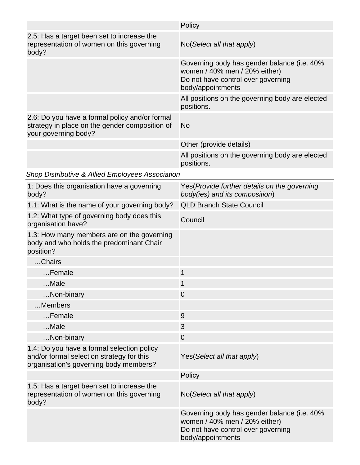|                                                                                                                                   | Policy                                                                                                                                  |
|-----------------------------------------------------------------------------------------------------------------------------------|-----------------------------------------------------------------------------------------------------------------------------------------|
| 2.5: Has a target been set to increase the<br>representation of women on this governing<br>body?                                  | No(Select all that apply)                                                                                                               |
|                                                                                                                                   | Governing body has gender balance (i.e. 40%<br>women / 40% men / 20% either)<br>Do not have control over governing<br>body/appointments |
|                                                                                                                                   | All positions on the governing body are elected<br>positions.                                                                           |
| 2.6: Do you have a formal policy and/or formal<br>strategy in place on the gender composition of<br>your governing body?          | No                                                                                                                                      |
|                                                                                                                                   | Other (provide details)                                                                                                                 |
|                                                                                                                                   | All positions on the governing body are elected<br>positions.                                                                           |
| <b>Shop Distributive &amp; Allied Employees Association</b>                                                                       |                                                                                                                                         |
| 1: Does this organisation have a governing<br>body?                                                                               | Yes (Provide further details on the governing<br>body(ies) and its composition)                                                         |
| 1.1: What is the name of your governing body?                                                                                     | <b>QLD Branch State Council</b>                                                                                                         |
| 1.2: What type of governing body does this<br>organisation have?                                                                  | Council                                                                                                                                 |
| 1.3: How many members are on the governing<br>body and who holds the predominant Chair<br>position?                               |                                                                                                                                         |
| Chairs                                                                                                                            |                                                                                                                                         |
| Female                                                                                                                            | 1                                                                                                                                       |
| Male                                                                                                                              |                                                                                                                                         |
| Non-binary                                                                                                                        | $\overline{0}$                                                                                                                          |
| Members                                                                                                                           |                                                                                                                                         |
| Female                                                                                                                            | 9                                                                                                                                       |
| Male                                                                                                                              | 3                                                                                                                                       |
| Non-binary                                                                                                                        | $\overline{0}$                                                                                                                          |
| 1.4: Do you have a formal selection policy<br>and/or formal selection strategy for this<br>organisation's governing body members? | Yes (Select all that apply)                                                                                                             |
|                                                                                                                                   | Policy                                                                                                                                  |
| 1.5: Has a target been set to increase the<br>representation of women on this governing<br>body?                                  | No(Select all that apply)                                                                                                               |
|                                                                                                                                   | Governing body has gender balance (i.e. 40%<br>women / 40% men / 20% either)<br>Do not have control over governing<br>body/appointments |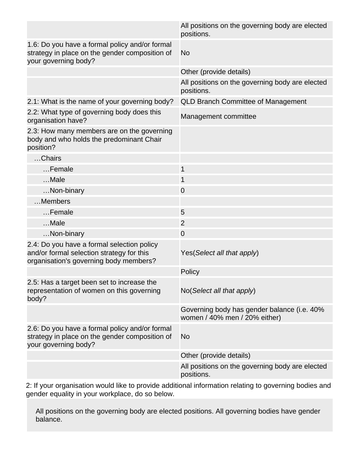|                                                                                                                                   | All positions on the governing body are elected<br>positions.                |
|-----------------------------------------------------------------------------------------------------------------------------------|------------------------------------------------------------------------------|
| 1.6: Do you have a formal policy and/or formal<br>strategy in place on the gender composition of<br>your governing body?          | <b>No</b>                                                                    |
|                                                                                                                                   | Other (provide details)                                                      |
|                                                                                                                                   | All positions on the governing body are elected<br>positions.                |
| 2.1: What is the name of your governing body?                                                                                     | <b>QLD Branch Committee of Management</b>                                    |
| 2.2: What type of governing body does this<br>organisation have?                                                                  | Management committee                                                         |
| 2.3: How many members are on the governing<br>body and who holds the predominant Chair<br>position?                               |                                                                              |
| Chairs                                                                                                                            |                                                                              |
| Female                                                                                                                            | 1                                                                            |
| Male                                                                                                                              | 1                                                                            |
| Non-binary                                                                                                                        | $\mathbf 0$                                                                  |
| Members                                                                                                                           |                                                                              |
| Female                                                                                                                            | 5                                                                            |
| Male                                                                                                                              | 2                                                                            |
| Non-binary                                                                                                                        | 0                                                                            |
| 2.4: Do you have a formal selection policy<br>and/or formal selection strategy for this<br>organisation's governing body members? | Yes(Select all that apply)                                                   |
|                                                                                                                                   | Policy                                                                       |
| 2.5: Has a target been set to increase the<br>representation of women on this governing<br>body?                                  | No(Select all that apply)                                                    |
|                                                                                                                                   | Governing body has gender balance (i.e. 40%<br>women / 40% men / 20% either) |
| 2.6: Do you have a formal policy and/or formal<br>strategy in place on the gender composition of<br>your governing body?          | No                                                                           |
|                                                                                                                                   | Other (provide details)                                                      |
|                                                                                                                                   | All positions on the governing body are elected<br>positions.                |

2: If your organisation would like to provide additional information relating to governing bodies and gender equality in your workplace, do so below.

All positions on the governing body are elected positions. All governing bodies have gender balance.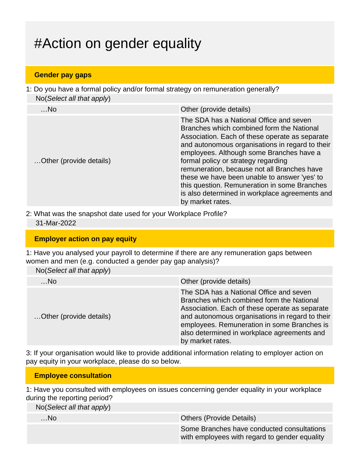# #Action on gender equality

#### **Gender pay gaps**

1: Do you have a formal policy and/or formal strategy on remuneration generally? No(Select all that apply)

| $$ No                   | Other (provide details)                                                                                                                                                                                                                                                                                                                                                                                                                                                                           |
|-------------------------|---------------------------------------------------------------------------------------------------------------------------------------------------------------------------------------------------------------------------------------------------------------------------------------------------------------------------------------------------------------------------------------------------------------------------------------------------------------------------------------------------|
| Other (provide details) | The SDA has a National Office and seven<br>Branches which combined form the National<br>Association. Each of these operate as separate<br>and autonomous organisations in regard to their<br>employees. Although some Branches have a<br>formal policy or strategy regarding<br>remuneration, because not all Branches have<br>these we have been unable to answer 'yes' to<br>this question. Remuneration in some Branches<br>is also determined in workplace agreements and<br>by market rates. |

2: What was the snapshot date used for your Workplace Profile? 31-Mar-2022

#### **Employer action on pay equity**

1: Have you analysed your payroll to determine if there are any remuneration gaps between women and men (e.g. conducted a gender pay gap analysis)?

| m                         |                                                                                                                                                                                                                                                                                                             |
|---------------------------|-------------------------------------------------------------------------------------------------------------------------------------------------------------------------------------------------------------------------------------------------------------------------------------------------------------|
| No(Select all that apply) |                                                                                                                                                                                                                                                                                                             |
| …No                       | Other (provide details)                                                                                                                                                                                                                                                                                     |
| Other (provide details)   | The SDA has a National Office and seven<br>Branches which combined form the National<br>Association. Each of these operate as separate<br>and autonomous organisations in regard to their<br>employees. Remuneration in some Branches is<br>also determined in workplace agreements and<br>by market rates. |

3: If your organisation would like to provide additional information relating to employer action on pay equity in your workplace, please do so below.

### **Employee consultation**

1: Have you consulted with employees on issues concerning gender equality in your workplace during the reporting period?

No(Select all that apply)

| …No. | <b>Others (Provide Details)</b>                                                             |
|------|---------------------------------------------------------------------------------------------|
|      | Some Branches have conducted consultations<br>with employees with regard to gender equality |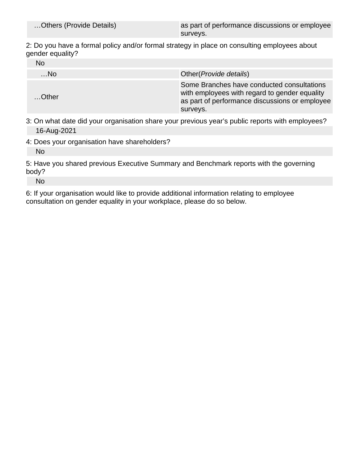| Others (Provide Details) |
|--------------------------|
|--------------------------|

as part of performance discussions or employee surveys.

2: Do you have a formal policy and/or formal strategy in place on consulting employees about gender equality?

| No       |                                                                                                                                                           |
|----------|-----------------------------------------------------------------------------------------------------------------------------------------------------------|
| $$ No    | Other ( <i>Provide details</i> )                                                                                                                          |
| $$ Other | Some Branches have conducted consultations<br>with employees with regard to gender equality<br>as part of performance discussions or employee<br>surveys. |

3: On what date did your organisation share your previous year's public reports with employees? 16-Aug-2021

4: Does your organisation have shareholders? No

5: Have you shared previous Executive Summary and Benchmark reports with the governing body?

No

6: If your organisation would like to provide additional information relating to employee consultation on gender equality in your workplace, please do so below.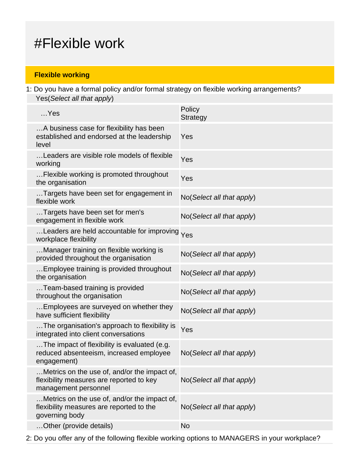# #Flexible work

## **Flexible working**

1: Do you have a formal policy and/or formal strategy on flexible working arrangements? Yes(Select all that apply)

| $$ Yes                                                                                                           | Policy<br><b>Strategy</b> |
|------------------------------------------------------------------------------------------------------------------|---------------------------|
| A business case for flexibility has been<br>established and endorsed at the leadership<br>level                  | Yes                       |
| Leaders are visible role models of flexible<br>working                                                           | Yes                       |
| Flexible working is promoted throughout<br>the organisation                                                      | Yes                       |
| Targets have been set for engagement in<br>flexible work                                                         | No(Select all that apply) |
| Targets have been set for men's<br>engagement in flexible work                                                   | No(Select all that apply) |
| Leaders are held accountable for improving Yes<br>workplace flexibility                                          |                           |
| Manager training on flexible working is<br>provided throughout the organisation                                  | No(Select all that apply) |
| Employee training is provided throughout<br>the organisation                                                     | No(Select all that apply) |
| Team-based training is provided<br>throughout the organisation                                                   | No(Select all that apply) |
| Employees are surveyed on whether they<br>have sufficient flexibility                                            | No(Select all that apply) |
| The organisation's approach to flexibility is<br>integrated into client conversations                            | Yes                       |
| The impact of flexibility is evaluated (e.g.<br>reduced absenteeism, increased employee<br>engagement)           | No(Select all that apply) |
| Metrics on the use of, and/or the impact of,<br>flexibility measures are reported to key<br>management personnel | No(Select all that apply) |
| Metrics on the use of, and/or the impact of,<br>flexibility measures are reported to the<br>governing body       | No(Select all that apply) |
| Other (provide details)                                                                                          | <b>No</b>                 |

2: Do you offer any of the following flexible working options to MANAGERS in your workplace?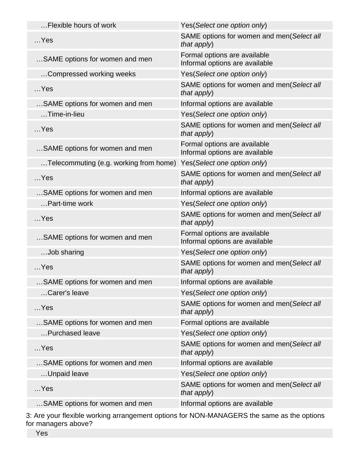| Flexible hours of work                 | Yes(Select one option only)                                    |
|----------------------------------------|----------------------------------------------------------------|
| $$ Yes                                 | SAME options for women and men(Select all<br>that apply)       |
| SAME options for women and men         | Formal options are available<br>Informal options are available |
| Compressed working weeks               | Yes(Select one option only)                                    |
| $$ Yes                                 | SAME options for women and men(Select all<br>that apply)       |
| SAME options for women and men         | Informal options are available                                 |
| $$ Time-in-lieu                        | Yes(Select one option only)                                    |
| $$ Yes                                 | SAME options for women and men(Select all<br>that apply)       |
| SAME options for women and men         | Formal options are available<br>Informal options are available |
| Telecommuting (e.g. working from home) | Yes(Select one option only)                                    |
| $$ Yes                                 | SAME options for women and men(Select all<br>that $apply$ )    |
| SAME options for women and men         | Informal options are available                                 |
| Part-time work                         | Yes(Select one option only)                                    |
| $$ Yes                                 | SAME options for women and men(Select all<br>that apply)       |
| SAME options for women and men         | Formal options are available<br>Informal options are available |
| Job sharing                            | Yes(Select one option only)                                    |
| $$ Yes                                 | SAME options for women and men(Select all<br>that apply)       |
| SAME options for women and men         | Informal options are available                                 |
| Carer's leave                          | Yes(Select one option only)                                    |
| $$ Yes                                 | SAME options for women and men(Select all<br>that apply)       |
| SAME options for women and men         | Formal options are available                                   |
| Purchased leave                        | Yes(Select one option only)                                    |
| $$ Yes                                 | SAME options for women and men(Select all<br>that apply)       |
| SAME options for women and men         | Informal options are available                                 |
| Unpaid leave                           | Yes(Select one option only)                                    |
| $$ Yes                                 | SAME options for women and men(Select all<br>that apply)       |
| SAME options for women and men         | Informal options are available                                 |
|                                        |                                                                |

3: Are your flexible working arrangement options for NON-MANAGERS the same as the options for managers above?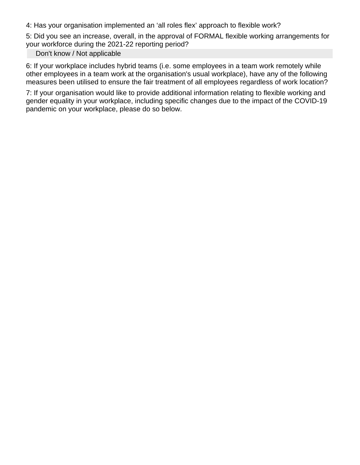4: Has your organisation implemented an 'all roles flex' approach to flexible work?

5: Did you see an increase, overall, in the approval of FORMAL flexible working arrangements for your workforce during the 2021-22 reporting period?

#### Don't know / Not applicable

6: If your workplace includes hybrid teams (i.e. some employees in a team work remotely while other employees in a team work at the organisation's usual workplace), have any of the following measures been utilised to ensure the fair treatment of all employees regardless of work location?

7: If your organisation would like to provide additional information relating to flexible working and gender equality in your workplace, including specific changes due to the impact of the COVID-19 pandemic on your workplace, please do so below.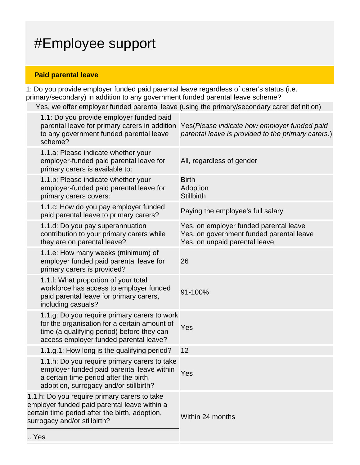# #Employee support

### **Paid parental leave**

 $\ddotsc$ 

1: Do you provide employer funded paid parental leave regardless of carer's status (i.e. primary/secondary) in addition to any government funded parental leave scheme?

Yes, we offer employer funded parental leave (using the primary/secondary carer definition)

|     | 1.1: Do you provide employer funded paid<br>parental leave for primary carers in addition<br>to any government funded parental leave<br>scheme?                                      | Yes (Please indicate how employer funded paid<br>parental leave is provided to the primary carers.)                 |
|-----|--------------------------------------------------------------------------------------------------------------------------------------------------------------------------------------|---------------------------------------------------------------------------------------------------------------------|
|     | 1.1.a: Please indicate whether your<br>employer-funded paid parental leave for<br>primary carers is available to:                                                                    | All, regardless of gender                                                                                           |
|     | 1.1.b: Please indicate whether your<br>employer-funded paid parental leave for<br>primary carers covers:                                                                             | <b>Birth</b><br>Adoption<br><b>Stillbirth</b>                                                                       |
|     | 1.1.c: How do you pay employer funded<br>paid parental leave to primary carers?                                                                                                      | Paying the employee's full salary                                                                                   |
|     | 1.1.d: Do you pay superannuation<br>contribution to your primary carers while<br>they are on parental leave?                                                                         | Yes, on employer funded parental leave<br>Yes, on government funded parental leave<br>Yes, on unpaid parental leave |
|     | 1.1.e: How many weeks (minimum) of<br>employer funded paid parental leave for<br>primary carers is provided?                                                                         | 26                                                                                                                  |
|     | 1.1.f: What proportion of your total<br>workforce has access to employer funded<br>paid parental leave for primary carers,<br>including casuals?                                     | 91-100%                                                                                                             |
|     | 1.1.g: Do you require primary carers to work<br>for the organisation for a certain amount of<br>time (a qualifying period) before they can<br>access employer funded parental leave? | Yes                                                                                                                 |
|     | 1.1.g.1: How long is the qualifying period?                                                                                                                                          | 12                                                                                                                  |
|     | 1.1.h: Do you require primary carers to take<br>employer funded paid parental leave within<br>a certain time period after the birth,<br>adoption, surrogacy and/or stillbirth?       | Yes                                                                                                                 |
|     | 1.1.h: Do you require primary carers to take<br>employer funded paid parental leave within a<br>certain time period after the birth, adoption,<br>surrogacy and/or stillbirth?       | Within 24 months                                                                                                    |
| Yes |                                                                                                                                                                                      |                                                                                                                     |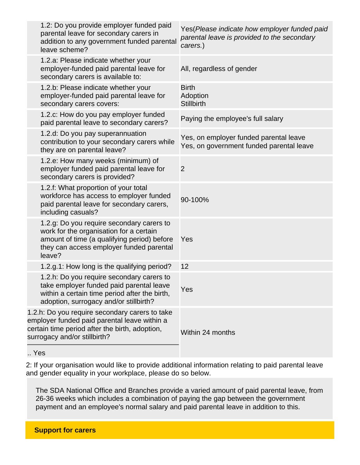| 1.2: Do you provide employer funded paid<br>parental leave for secondary carers in<br>addition to any government funded parental<br>leave scheme?                                         | Yes(Please indicate how employer funded paid<br>parental leave is provided to the secondary<br>carers.) |
|-------------------------------------------------------------------------------------------------------------------------------------------------------------------------------------------|---------------------------------------------------------------------------------------------------------|
| 1.2.a: Please indicate whether your<br>employer-funded paid parental leave for<br>secondary carers is available to:                                                                       | All, regardless of gender                                                                               |
| 1.2.b: Please indicate whether your<br>employer-funded paid parental leave for<br>secondary carers covers:                                                                                | <b>Birth</b><br>Adoption<br><b>Stillbirth</b>                                                           |
| 1.2.c: How do you pay employer funded<br>paid parental leave to secondary carers?                                                                                                         | Paying the employee's full salary                                                                       |
| 1.2.d: Do you pay superannuation<br>contribution to your secondary carers while<br>they are on parental leave?                                                                            | Yes, on employer funded parental leave<br>Yes, on government funded parental leave                      |
| 1.2.e: How many weeks (minimum) of<br>employer funded paid parental leave for<br>secondary carers is provided?                                                                            | $\overline{2}$                                                                                          |
| 1.2.f: What proportion of your total<br>workforce has access to employer funded<br>paid parental leave for secondary carers,<br>including casuals?                                        | 90-100%                                                                                                 |
| 1.2.g: Do you require secondary carers to<br>work for the organisation for a certain<br>amount of time (a qualifying period) before<br>they can access employer funded parental<br>leave? | Yes                                                                                                     |
| 1.2.g.1: How long is the qualifying period?                                                                                                                                               | 12                                                                                                      |
| 1.2.h: Do you require secondary carers to<br>take employer funded paid parental leave<br>within a certain time period after the birth,<br>adoption, surrogacy and/or stillbirth?          | Yes                                                                                                     |
| 1.2.h: Do you require secondary carers to take<br>employer funded paid parental leave within a<br>certain time period after the birth, adoption,<br>surrogacy and/or stillbirth?          | Within 24 months                                                                                        |
|                                                                                                                                                                                           |                                                                                                         |

.. Yes

2: If your organisation would like to provide additional information relating to paid parental leave and gender equality in your workplace, please do so below.

The SDA National Office and Branches provide a varied amount of paid parental leave, from 26-36 weeks which includes a combination of paying the gap between the government payment and an employee's normal salary and paid parental leave in addition to this.

**Support for carers**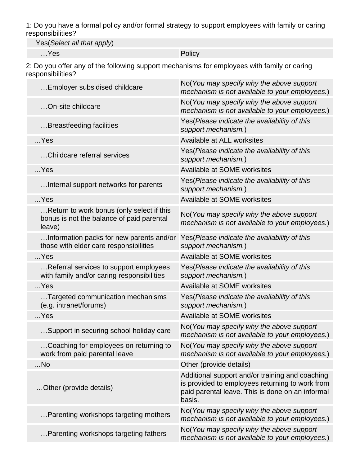1: Do you have a formal policy and/or formal strategy to support employees with family or caring responsibilities?

Yes(Select all that apply)

…Yes Policy

2: Do you offer any of the following support mechanisms for employees with family or caring responsibilities?

| Employer subsidised childcare                                                                    | No(You may specify why the above support<br>mechanism is not available to your employees.)                                                                       |
|--------------------------------------------------------------------------------------------------|------------------------------------------------------------------------------------------------------------------------------------------------------------------|
| On-site childcare                                                                                | No(You may specify why the above support<br>mechanism is not available to your employees.)                                                                       |
| Breastfeeding facilities                                                                         | Yes (Please indicate the availability of this<br>support mechanism.)                                                                                             |
| $$ Yes                                                                                           | Available at ALL worksites                                                                                                                                       |
| Childcare referral services                                                                      | Yes(Please indicate the availability of this<br>support mechanism.)                                                                                              |
| $$ Yes                                                                                           | Available at SOME worksites                                                                                                                                      |
| Internal support networks for parents                                                            | Yes (Please indicate the availability of this<br>support mechanism.)                                                                                             |
| $$ Yes                                                                                           | Available at SOME worksites                                                                                                                                      |
| Return to work bonus (only select if this<br>bonus is not the balance of paid parental<br>leave) | No(You may specify why the above support<br>mechanism is not available to your employees.)                                                                       |
| Information packs for new parents and/or<br>those with elder care responsibilities               | Yes(Please indicate the availability of this<br>support mechanism.)                                                                                              |
| $$ Yes                                                                                           | Available at SOME worksites                                                                                                                                      |
| Referral services to support employees<br>with family and/or caring responsibilities             | Yes (Please indicate the availability of this<br>support mechanism.)                                                                                             |
| $$ Yes                                                                                           | Available at SOME worksites                                                                                                                                      |
| Targeted communication mechanisms<br>(e.g. intranet/forums)                                      | Yes (Please indicate the availability of this<br>support mechanism.)                                                                                             |
| $$ Yes                                                                                           | Available at SOME worksites                                                                                                                                      |
| Support in securing school holiday care                                                          | No(You may specify why the above support<br>mechanism is not available to your employees.)                                                                       |
| Coaching for employees on returning to<br>work from paid parental leave                          | No(You may specify why the above support<br>mechanism is not available to your employees.)                                                                       |
| No                                                                                               | Other (provide details)                                                                                                                                          |
| Other (provide details)                                                                          | Additional support and/or training and coaching<br>is provided to employees returning to work from<br>paid parental leave. This is done on an informal<br>basis. |
| Parenting workshops targeting mothers                                                            | No(You may specify why the above support<br>mechanism is not available to your employees.)                                                                       |
| Parenting workshops targeting fathers                                                            | No(You may specify why the above support<br>mechanism is not available to your employees.)                                                                       |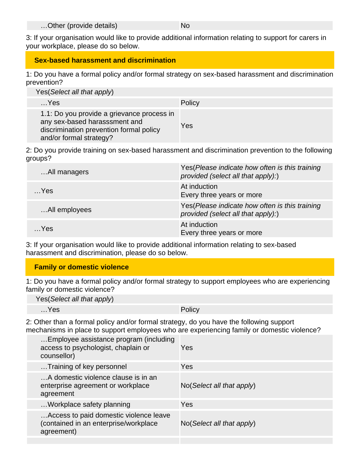…Other (provide details) No

3: If your organisation would like to provide additional information relating to support for carers in your workplace, please do so below.

#### **Sex-based harassment and discrimination**

1: Do you have a formal policy and/or formal strategy on sex-based harassment and discrimination prevention?

Yes(Select all that apply)

| $$ Yes                                                                                                                                            | <b>Policy</b> |
|---------------------------------------------------------------------------------------------------------------------------------------------------|---------------|
| 1.1: Do you provide a grievance process in<br>any sex-based harasssment and<br>discrimination prevention formal policy<br>and/or formal strategy? | Yes           |

2: Do you provide training on sex-based harassment and discrimination prevention to the following groups?

| All managers  | Yes(Please indicate how often is this training<br>provided (select all that apply):)  |
|---------------|---------------------------------------------------------------------------------------|
| $$ Yes        | At induction<br>Every three years or more                                             |
| All employees | Yes (Please indicate how often is this training<br>provided (select all that apply):) |
| $$ Yes        | At induction<br>Every three years or more                                             |

3: If your organisation would like to provide additional information relating to sex-based harassment and discrimination, please do so below.

### **Family or domestic violence**

1: Do you have a formal policy and/or formal strategy to support employees who are experiencing family or domestic violence?

| Yes (Select all that apply) |        |
|-----------------------------|--------|
| ∕…Yes                       | Policy |

2: Other than a formal policy and/or formal strategy, do you have the following support mechanisms in place to support employees who are experiencing family or domestic violence?

| Employee assistance program (including<br>access to psychologist, chaplain or<br>counsellor)  | Yes                                  |
|-----------------------------------------------------------------------------------------------|--------------------------------------|
| Training of key personnel                                                                     | Yes                                  |
| A domestic violence clause is in an<br>enterprise agreement or workplace<br>agreement         | $No(Select \textit{all} that apply)$ |
| Workplace safety planning                                                                     | Yes                                  |
| Access to paid domestic violence leave<br>(contained in an enterprise/workplace<br>agreement) | $No(Select \textit{all} that apply)$ |
|                                                                                               |                                      |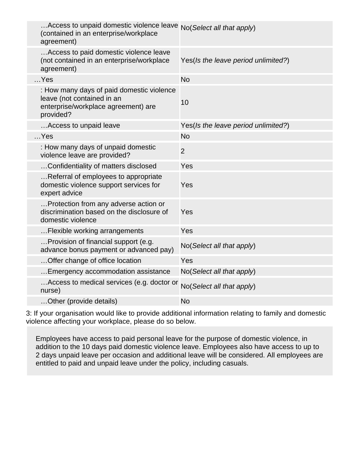| Access to unpaid domestic violence leave No(Select all that apply)<br>(contained in an enterprise/workplace<br>agreement)   |                                     |
|-----------------------------------------------------------------------------------------------------------------------------|-------------------------------------|
| Access to paid domestic violence leave<br>(not contained in an enterprise/workplace<br>agreement)                           | Yes(Is the leave period unlimited?) |
| $$ Yes                                                                                                                      | <b>No</b>                           |
| : How many days of paid domestic violence<br>leave (not contained in an<br>enterprise/workplace agreement) are<br>provided? | 10                                  |
| Access to unpaid leave                                                                                                      | Yes(Is the leave period unlimited?) |
| $$ Yes                                                                                                                      | <b>No</b>                           |
| : How many days of unpaid domestic<br>violence leave are provided?                                                          | $\overline{2}$                      |
| Confidentiality of matters disclosed                                                                                        | Yes                                 |
| Referral of employees to appropriate<br>domestic violence support services for<br>expert advice                             | Yes                                 |
| Protection from any adverse action or<br>discrimination based on the disclosure of<br>domestic violence                     | Yes                                 |
| Flexible working arrangements                                                                                               | Yes                                 |
| Provision of financial support (e.g.<br>advance bonus payment or advanced pay)                                              | No(Select all that apply)           |
| Offer change of office location                                                                                             | Yes                                 |
| Emergency accommodation assistance                                                                                          | No(Select all that apply)           |
| Access to medical services (e.g. doctor or<br>nurse)                                                                        | No(Select all that apply)           |
| Other (provide details)                                                                                                     | <b>No</b>                           |

3: If your organisation would like to provide additional information relating to family and domestic violence affecting your workplace, please do so below.

Employees have access to paid personal leave for the purpose of domestic violence, in addition to the 10 days paid domestic violence leave. Employees also have access to up to 2 days unpaid leave per occasion and additional leave will be considered. All employees are entitled to paid and unpaid leave under the policy, including casuals.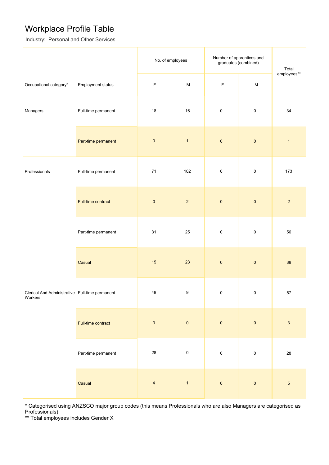## Workplace Profile Table

Industry: Personal and Other Services

|                                                            |                     |                | No. of employees                                                                                           | Number of apprentices and<br>graduates (combined) | Total                                                                                                      |                           |
|------------------------------------------------------------|---------------------|----------------|------------------------------------------------------------------------------------------------------------|---------------------------------------------------|------------------------------------------------------------------------------------------------------------|---------------------------|
| Occupational category*                                     | Employment status   | $\mathsf F$    | $\mathsf{M}% _{T}=\mathsf{M}_{T}\!\left( a,b\right) ,\ \mathsf{M}_{T}=\mathsf{M}_{T}\!\left( a,b\right) ,$ | $\mathsf F$                                       | $\mathsf{M}% _{T}=\mathsf{M}_{T}\!\left( a,b\right) ,\ \mathsf{M}_{T}=\mathsf{M}_{T}\!\left( a,b\right) ,$ | employees**               |
| Managers                                                   | Full-time permanent | $18\,$         | 16                                                                                                         | $\pmb{0}$                                         | $\pmb{0}$                                                                                                  | 34                        |
|                                                            | Part-time permanent | $\pmb{0}$      | $\mathbf{1}$                                                                                               | $\pmb{0}$                                         | $\pmb{0}$                                                                                                  | $\mathbf{1}$              |
| Professionals                                              | Full-time permanent | $71$           | 102                                                                                                        | $\pmb{0}$                                         | $\pmb{0}$                                                                                                  | 173                       |
|                                                            | Full-time contract  | $\pmb{0}$      | $\sqrt{2}$                                                                                                 | $\pmb{0}$                                         | $\pmb{0}$                                                                                                  | $\overline{2}$            |
|                                                            | Part-time permanent | 31             | 25                                                                                                         | $\pmb{0}$                                         | $\pmb{0}$                                                                                                  | 56                        |
|                                                            | Casual              | 15             | 23                                                                                                         | $\pmb{0}$                                         | $\pmb{0}$                                                                                                  | 38                        |
| Clerical And Administrative Full-time permanent<br>Workers |                     | 48             | $\boldsymbol{9}$                                                                                           | $\pmb{0}$                                         | $\pmb{0}$                                                                                                  | 57                        |
|                                                            | Full-time contract  | $\mathbf{3}$   | $\pmb{0}$                                                                                                  | $\pmb{0}$                                         | $\pmb{0}$                                                                                                  | $\ensuremath{\mathsf{3}}$ |
|                                                            | Part-time permanent | $28\,$         | $\pmb{0}$                                                                                                  | $\pmb{0}$                                         | $\mathbf 0$                                                                                                | 28                        |
|                                                            | Casual              | $\overline{4}$ | $\overline{1}$                                                                                             | $\pmb{0}$                                         | $\pmb{0}$                                                                                                  | $\sqrt{5}$                |

\* Categorised using ANZSCO major group codes (this means Professionals who are also Managers are categorised as Professionals)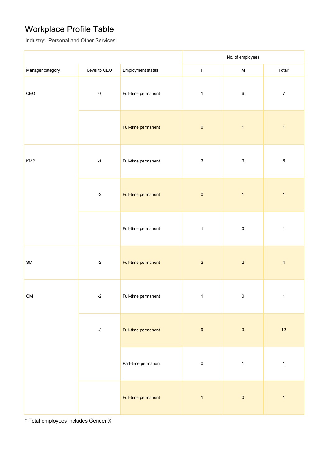# Workplace Profile Table

Industry: Personal and Other Services

|                                                    |              |                     | No. of employees          |                           |                  |
|----------------------------------------------------|--------------|---------------------|---------------------------|---------------------------|------------------|
| Manager category                                   | Level to CEO | Employment status   | $\mathsf F$               | ${\sf M}$                 | Total*           |
| CEO                                                | $\pmb{0}$    | Full-time permanent | $\mathbf{1}$              | $\,6\,$                   | $\boldsymbol{7}$ |
|                                                    |              | Full-time permanent | $\pmb{0}$                 | $\mathbf{1}$              | $\mathbf{1}$     |
| <b>KMP</b>                                         | $-1$         | Full-time permanent | $\ensuremath{\mathsf{3}}$ | $\ensuremath{\mathsf{3}}$ | $\,6\,$          |
|                                                    | $-2$         | Full-time permanent | $\pmb{0}$                 | $\mathbf{1}$              | $\mathbf{1}$     |
|                                                    |              | Full-time permanent | $\mathbf{1}$              | $\pmb{0}$                 | $\mathbf{1}$     |
| ${\sf SM}$                                         | $-2$         | Full-time permanent | $\overline{2}$            | $\sqrt{2}$                | $\overline{4}$   |
| OM                                                 | $-2$         | Full-time permanent | $\mathbf{1}$              | $\pmb{0}$                 | $\mathbf{1}$     |
| Full-time permanent<br>$-3$<br>Part-time permanent |              |                     | $\boldsymbol{9}$          | $\ensuremath{\mathsf{3}}$ | 12               |
|                                                    |              |                     | $\pmb{0}$                 | $\mathbf{1}$              | $\mathbf{1}$     |
|                                                    |              | Full-time permanent | $\mathbf{1}$              | $\pmb{0}$                 | $\mathbf{1}$     |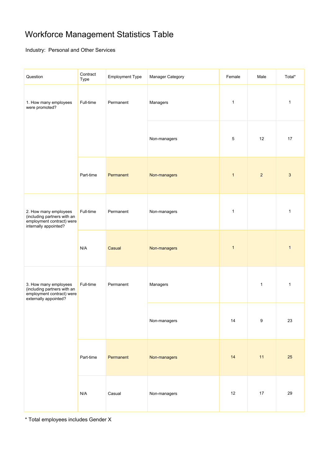# Workforce Management Statistics Table

Industry: Personal and Other Services

| Question                                                                                                   | Contract<br>Type | <b>Employment Type</b> | Manager Category | Female       | Male             | Total*       |
|------------------------------------------------------------------------------------------------------------|------------------|------------------------|------------------|--------------|------------------|--------------|
| 1. How many employees<br>were promoted?                                                                    | Full-time        | Permanent              | Managers         | $\mathbf{1}$ |                  | $\mathbf{1}$ |
|                                                                                                            |                  |                        | Non-managers     | 5            | 12               | 17           |
|                                                                                                            | Part-time        | Permanent              | Non-managers     | $\mathbf{1}$ | $\overline{2}$   | 3            |
| 2. How many employees<br>(including partners with an<br>employment contract) were<br>internally appointed? | Full-time        | Permanent              | Non-managers     | 1            |                  | $\mathbf{1}$ |
|                                                                                                            | N/A              | Casual                 | Non-managers     | $\mathbf{1}$ |                  | $\mathbf{1}$ |
| 3. How many employees<br>(including partners with an<br>employment contract) were<br>externally appointed? | Full-time        | Permanent              | Managers         |              | $\mathbf{1}$     | $\mathbf{1}$ |
|                                                                                                            |                  |                        | Non-managers     | 14           | $\boldsymbol{9}$ | 23           |
|                                                                                                            | Part-time        | Permanent              | Non-managers     | 14           | 11               | 25           |
|                                                                                                            | N/A              | Casual                 | Non-managers     | 12           | $17$             | 29           |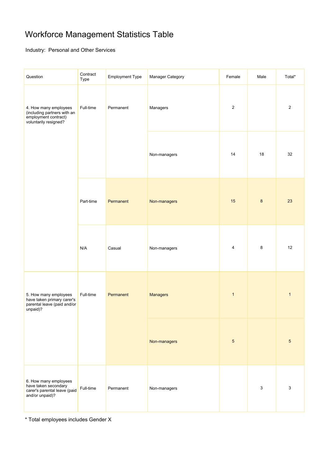# Workforce Management Statistics Table

Industry: Personal and Other Services

| Question                                                                                              | Contract<br>Type       | <b>Employment Type</b> | Manager Category | Female         | Male           | Total*       |
|-------------------------------------------------------------------------------------------------------|------------------------|------------------------|------------------|----------------|----------------|--------------|
| 4. How many employees<br>(including partners with an<br>employment contract)<br>voluntarily resigned? | Full-time<br>Permanent | Managers               | $\sqrt{2}$       |                | $\overline{2}$ |              |
|                                                                                                       |                        |                        | Non-managers     | 14             | 18             | 32           |
|                                                                                                       | Part-time              | Permanent              | Non-managers     | 15             | $\bf 8$        | 23           |
|                                                                                                       | N/A                    | Casual                 | Non-managers     | 4              | 8              | 12           |
| 5. How many employees<br>have taken primary carer's<br>parental leave (paid and/or<br>unpaid)?        | Full-time              | Permanent              | <b>Managers</b>  | $\mathbf{1}$   |                | $\mathbf{1}$ |
|                                                                                                       |                        |                        | Non-managers     | $\overline{5}$ |                | $\sqrt{5}$   |
| 6. How many employees<br>have taken secondary<br>carer's parental leave (paid<br>and/or unpaid)?      | Full-time              | Permanent              | Non-managers     |                | 3              | 3            |